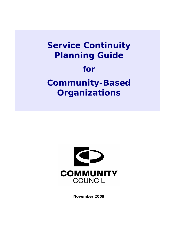# **Service Continuity Planning Guide for Community-Based Organizations**



**November 2009**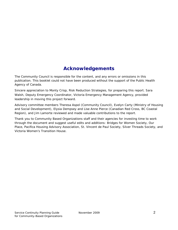# **Acknowledgements**

The Community Council is responsible for the content, and any errors or omissions in this publication. This booklet could not have been produced without the support of the Public Health Agency of Canada.

Sincere appreciation to Monty Crisp, Risk Reduction Strategies, for preparing this report. Sara Walsh, Deputy Emergency Coordinator, Victoria Emergency Management Agency, provided leadership in moving this project forward.

Advisory committee members Theresa Aspol (Community Council), Evelyn Carty (Ministry of Housing and Social Development), Elysia Dempsey and Lise Anne Pierce (Canadian Red Cross, BC Coastal Region), and Jim Lamorte reviewed and made valuable contributions to the report.

Thank you to Community Based Organizations staff and their agencies for investing time to work through the document and suggest useful edits and additions: Bridges for Women Society, Our Place, Pacifica Housing Advisory Association, St. Vincent de Paul Society, Silver Threads Society, and Victoria Women's Transition House.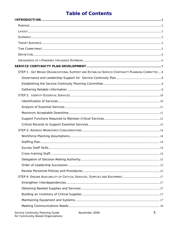# **Table of Contents**

| STEP 1 - GET BROAD ORGANIZATIONAL SUPPORT AND ESTABLISH SERVICE CONTINUITY PLANNING COMMITTEE 8 |  |
|-------------------------------------------------------------------------------------------------|--|
|                                                                                                 |  |
|                                                                                                 |  |
|                                                                                                 |  |
|                                                                                                 |  |
|                                                                                                 |  |
|                                                                                                 |  |
|                                                                                                 |  |
|                                                                                                 |  |
|                                                                                                 |  |
|                                                                                                 |  |
|                                                                                                 |  |
|                                                                                                 |  |
|                                                                                                 |  |
|                                                                                                 |  |
|                                                                                                 |  |
|                                                                                                 |  |
|                                                                                                 |  |
|                                                                                                 |  |
|                                                                                                 |  |
|                                                                                                 |  |
|                                                                                                 |  |
|                                                                                                 |  |
|                                                                                                 |  |
|                                                                                                 |  |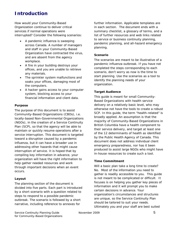# **Introduction**

How would your Community-Based Organization continue to deliver critical services if normal operations were interrupted? Consider the following scenarios:

- A pandemic influenza is sweeping across Canada. A number of managers and staff in your Community-Based Organization have contracted the virus, and are absent from the agency workplace.
- A fire in your building destroys your offices, and you are unable to retrieve any materials.
- The sprinkler system malfunctions and soaks your offices, damaging most of the computers.
- A hacker gains access to your computer system, blocking access to your financial information and client data.

#### *Purpose*

The purpose of this document is to assist Community-Based Organizations (CBOs), i.e. locally-based Non-Governmental Organizations (NGOs), in the creation of a Service Continuity Plan (SCP), so that the agency will be able to maintain or quickly resume operations after a service interruption. This document is targeted toward a disruption caused by a pandemic influenza, but it can have a broader use in addressing other hazards that might cause interruption of service. It is hoped that by compiling key information in advance, your organization will have the right information to help gather needed resources and work through important decisions when an event occurs.

#### *Layout*

The planning section of the document is divided into five parts. Each part is introduced by a short scenario with a question related to steps to respond to a possible pandemic outbreak. The scenario is followed by a short narrative, including reference to annexes for

further information. Applicable templates are in each section. The document ends with a summary checklist, a glossary of terms, and a list of further resources and web links related to service or business continuity planning, pandemic planning, and all-hazard emergency planning.

#### *Scenario*

The scenarios are meant to be illustrative of a pandemic influenza outbreak. If you have not completed the steps corresponding to each scenario, don't worry as now is the time to start planning. Use the scenarios as a tool to identify the planning needs of your organization.

#### *Target Audience*

This guide is meant for small Community-Based Organizations with health service delivery on a relatively basic level, who may otherwise not have the tools to create a robust SCP. In this guide, the term "health-related" is broadly applied. An assumption is that the majority of Community-Based Organizations in British Columbia have a health component to their service delivery, and target at least one of the 12 determinants of health as identified by the Public Health Agency of Canada. This document does not address individual client emergency preparedness, nor has it been produced to assist large NGOs who might have in-house resources to create such a tool.

#### *Time Commitment*

Will a basic plan take a long time to create? No. Most of the information you need to gather is readily accessible to you. This guide is not meant to be complicated or difficult. It focuses is on helping you gather key pieces of information and it will prompt you to make certain decisions in advance. Your organization's circumstances and structures are unique, so the Service Continuity Plan should be tailored to suit your needs. Ultimately you and your staff are best suited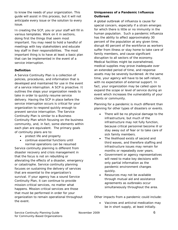to know the needs of your organization. This guide will assist in this process, but it will not anticipate every issue or the solution to every issue.

In creating the SCP, you or your staff will fill in various templates. Work on it in sections, doing first the things that seem most important. You may need to hold a handful of meetings with key stakeholders and educate key staff in their responsibilities. The most important thing is to have at least a basic plan that can be implemented in the event of a service interruption.

#### *Definition*

A Service Continuity Plan is a collection of policies, procedures, and information that is developed and maintained for use in the event of a service interruption. A SCP is proactive. It outlines the steps your organization needs to take in order to quickly resume service delivery. Having the SCP in place before the service interruption occurs is critical for your organization to respond quickly enough to prevent service interruption. The Service Continuity Plan is similar to a Business Continuity Plan which focusing on the business community, and, in fact, some elements within each plan are equivalent. The primary goals of continuity plans are to:

• protect life and property

• continue essential functions until normal operations can be resumed Service continuity planning is different from disaster recovery and crisis management in that the focus is not on rebuilding or alleviating the effects of a disaster, emergency or catastrophe. Service continuity planning focuses on sustaining the delivery of services that are essential to the organization's survival. If your agency has a sound Service Continuity Plan, it can continue to provide mission-critical services, no matter what happens. Mission-critical services are those that must be performed in order for your organization to remain operational throughout the event.

#### *Uniqueness of a Pandemic Influenza Outbreak*

A global outbreak of influenza is cause for special concern, especially if a strain emerges for which there is little or no immunity in the human population. Such a pandemic influenza has the ability to affect approximately 30 percent of the population at any given time, disrupt 40 percent of the workforce as workers suffer from illness or stay home to take care of family members, and cause significant disruption to all sectors of the economy. Medical facilities might be overwhelmed, medical supplies may prove inadequate over an extended period of time, and response assets may be severely burdened. At the same time, your agency will have to be self-reliant, with no expectation of external support. In fact, your organization may be called upon to expand the scope or level of service during an event which increases the vulnerability of your clients or community.

Planning for a pandemic is much different than planning for other types of disasters or events.

- There will be no physical damage to the infrastructure, but much of the infrastructure may not fully function, because critical personnel become ill or stay away out of fear or to take care of sick family members.
- The likelihood exists of second and third waves, and therefore staffing and infrastructure issues may remain for months or repeatedly over years.
- Government or agency representatives will need to make key decisions with only partial information as the pandemic environment changes quickly.
- Resources may not be available through mutual aid and assistance agreements as outbreaks occur simultaneously throughout the area.

Other impacts from a pandemic could include:

• Vaccines and antiviral medication may be in short supply, at least initially.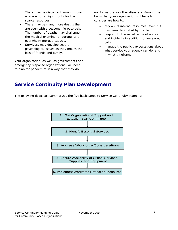There may be discontent among those who are not a high priority for the scarce resources.

- There may be many more deaths than are seen with a seasonal flu outbreak. The number of deaths may challenge the medical examiner or coroner and overwhelm morgue capacity.
- Survivors may develop severe psychological issues as they mourn the loss of friends and family.

Your organization, as well as governments and emergency response organizations, will need to plan for pandemics in a way that they do

not for natural or other disasters. Among the tasks that your organization will have to consider are how to:

- rely on its internal resources, even if it has been decimated by the flu
- respond to the usual range of issues and incidents in addition to flu-related calls
- manage the public's expectations about what service your agency can do, and in what timeframe.

# **Service Continuity Plan Development**

The following flowchart summarizes the five basic steps to Service Continuity Planning:

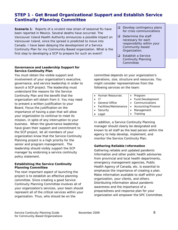## *STEP 1 - Get Broad Organizational Support and Establish Service Continuity Planning Committee*

*Scenario 1: Reports of a virulent new strain of seasonal flu have been reported in Mexico. Several deaths have occurred. The Vancouver Island Health Authority announces a possible impact on Vancouver Island, since the spread is predicted to move into Canada. I have been delaying the development of a Service Continuity Plan for my Community-Based organization. What is the first step to developing a SCP to prepare for such an event?* 

#### *Governance and Leadership Support for Service Continuity Plan*

You must obtain the visible support and involvement of your organization's executive, governance, and service leadership in order to launch a SCP project. The leadership must understand the reasons for the Service Continuity Plan and the benefit that the organization will obtain from it. You may need to present a written justification to your Board. Focus the justification on the importance of having a plan that will allow your organization to continue to meet its mission, in spite of any interruption to your business. When the governance leadership have given their support and commitment to the SCP project, let all members of your organization know that the Service Continuity Planning project is a high priority for the senior and program management. The leadership should visibly support the SCP manager by endorsing a service continuity policy statement.

#### *Establishing the Service Continuity Planning Committee*

The next important aspect of launching the project is to establish an effective planning committee. Since creating a good Service Continuity Planning Committee involves all of your organization's services, your team should represent all of the critical services within your organization. Thus, who should be on the

- $\Box$  Develop contingency plans for crisis communications
- $\Box$  Determine the staff necessary for each responsibility within your Community-based Organization.
- **Establish a Service** Continuity Planning Committee

committee depends on your organization's operations, size, structure and resources. You might consider representatives from the following services on the team:

| • Human Resources        | $\bullet$ Program    |
|--------------------------|----------------------|
| ШT                       | • Fund Development   |
| • General Office         | • Communications     |
| • Facilities/Maintenance | • Accounting/Finance |
| • Security               | Management           |
| Legal                    | Training             |
|                          |                      |

In addition, a Service Continuity Planning manager should clearly be designated and known to all staff as the lead person within the agency to help develop, implement, and monitor the Service Continuity Plan.

#### *Gathering Reliable Information*

Gathering reliable and updated pandemic information and other public health advisories from provincial and local health departments, emergency management agencies, Public Health Agency of Canada, etc. is essential to emphasize the importance of creating a plan. Make information available to staff within your organization, your clients, and others. Distributing information about pandemic awareness and the importance of a preparedness and response plan for your organization will empower the SPC Committee.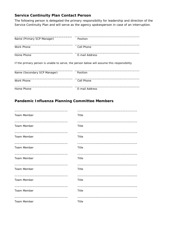## **Service Continuity Plan Contact Person**

The following person is delegated the primary responsibility for leadership and direction of the Service Continuity Plan and will serve as the agency spokesperson in case of an interruption.

| Name (Primary SCP Manager)                 | Position                                                                                   |
|--------------------------------------------|--------------------------------------------------------------------------------------------|
|                                            |                                                                                            |
| Work Phone                                 | Cell Phone                                                                                 |
| Home Phone                                 | E-mail Address                                                                             |
|                                            | If the primary person is unable to serve, the person below will assume this responsibility |
|                                            |                                                                                            |
|                                            | Position                                                                                   |
| Name (Secondary SCP Manager)<br>Work Phone | Cell Phone                                                                                 |

### **Pandemic Influenza Planning Committee Members**

| Team Member        | Title |
|--------------------|-------|
| Team Member        | Title |
| Team Member        | Title |
| Team Member        | Title |
| Team Member        | Title |
| Team Member        | Title |
| <b>Team Member</b> | Title |
| Team Member        | Title |
| <b>Team Member</b> | Title |

\_\_\_\_\_\_\_\_\_\_\_\_\_\_\_\_\_\_\_\_\_\_\_\_\_\_\_\_\_\_\_\_ \_\_\_\_\_\_\_\_\_\_\_\_\_\_\_\_\_\_\_\_\_\_\_\_\_\_\_\_\_\_\_\_\_\_\_\_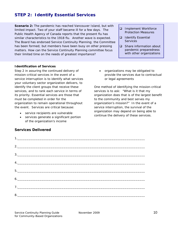## *STEP 2: Identify Essential Services*

*Scenario 2: The pandemic has reached Vancouver Island, but with limited impact. Two of your staff became ill for a few days. The Public Health Agency of Canada reports that the present flu has similar characteristics to the 1918 flu. Another wave is expected. The Board has endorsed Service Continuity Planning; the Committee has been formed; but members have been busy on other pressing matters. How can the Service Continuity Planning committee focus their limited time on the needs of greatest importance?* 

- **Implement Workforce** Protection Measures
- **Q** Identify Essential **Services**
- □ Share information about pandemic preparedness with other organizations

#### *Identification of Services*

Step 2 in assuring the continued delivery of mission-critical services in the event of a service interruption is to identify what services your voluntary sector organization delivers, to identify the client groups that receive these services, and to rank each service in terms of its priority. Essential services are those that must be completed in order for the organization to remain operational throughout the event. Services are critical because:

- service recipients are vulnerable
- services generate a significant portion of the organization's income

#### **Services Delivered**

• organizations may be obligated to provide the services due to contractual or legal agreements

One method of identifying the mission-critical services is to ask: "What is it that my organization does that is of the largest benefit to the community and best serves my organization's mission?" In the event of a service interruption, the survival of the organization may depend on being able to continue the delivery of these services.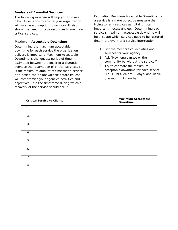#### *Analysis of Essential Services*

The following exercise will help you to make difficult decisions to ensure your organization will survive a disruption to services. It also shows the need to focus resources to maintain critical services.

#### *Maximum Acceptable Downtime*

Determining the maximum acceptable downtime for each service the organization delivers is important. Maximum Acceptable Downtime is the longest period of time estimated between the onset of a disruption event to the resumption of critical services. It is the maximum amount of time that a service or function can be unavailable before its loss will compromise your agency's activities and objectives. It is the timeframe during which a recovery of the service should occur.

Estimating Maximum Acceptable Downtime for a service is a more objective measure than trying to rank services as: vital, critical, important, necessary, etc. Determining each service's maximum acceptable downtime will help isolate which services need to be restored first in the event of a service interruption.

- 1. List the most critical activities and services for your agency.
- 2. Ask "How long can we or the community be without the service?"
- 3. Try to estimate the maximum acceptable downtime for each service. (i.e. 12 hrs, 24 hrs, 3 days, one week, one month, 2 months)

| <b>Critical Service to Clients</b> | <b>Maximum Acceptable</b><br>Downtime |
|------------------------------------|---------------------------------------|
| 1.                                 |                                       |
| 2.                                 |                                       |
| 3.                                 |                                       |
| 4.                                 |                                       |
| 5.                                 |                                       |
| 6.                                 |                                       |
| 7.                                 |                                       |
| 8.                                 |                                       |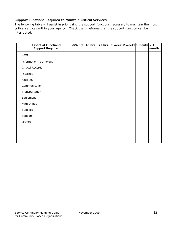#### *Support Functions Required to Maintain Critical Services*

The following table will assist in prioritizing the support functions necessary to maintain the most critical services within your agency. Check the timeframe that the support function can be interrupted.

| <b>Essential Functional</b><br><b>Support Required</b> | $<$ 24 hrs $ $ | 48 hrs | 72 hrs |  | 1 week $ 2$ weeks 1 month $ >1$ | month |
|--------------------------------------------------------|----------------|--------|--------|--|---------------------------------|-------|
| Staff                                                  |                |        |        |  |                                 |       |
| <b>Information Technology</b>                          |                |        |        |  |                                 |       |
| <b>Critical Records</b>                                |                |        |        |  |                                 |       |
| Internet                                               |                |        |        |  |                                 |       |
| Facilities                                             |                |        |        |  |                                 |       |
| Communication                                          |                |        |        |  |                                 |       |
| Transportation                                         |                |        |        |  |                                 |       |
| Equipment                                              |                |        |        |  |                                 |       |
| Furnishings                                            |                |        |        |  |                                 |       |
| Supplies                                               |                |        |        |  |                                 |       |
| Vendors                                                |                |        |        |  |                                 |       |
| (other)                                                |                |        |        |  |                                 |       |
|                                                        |                |        |        |  |                                 |       |
|                                                        |                |        |        |  |                                 |       |
|                                                        |                |        |        |  |                                 |       |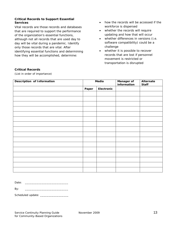#### *Critical Records to Support Essential Services*

Vital records are those records and databases that are required to support the performance of the organization's essential functions, although not all records that are used day to day will be vital during a pandemic. Identify only those records that are vital. After identifying essential functions and determining how they will be accomplished, determine:

- how the records will be accessed if the workforce is dispersed
- whether the records will require updating and how that will occur
- whether differences in versions (i.e. software compatibility) could be a challenge
- whether it is possible to recover records that are lost if personnel movement is restricted or transportation is disrupted

| <b>Critical Records</b> |
|-------------------------|
|                         |

*(List in order of importance)* 

| <b>Description of Information</b> | Media |            | <b>Manager of</b><br>information | Alternate<br><b>Staff</b> |
|-----------------------------------|-------|------------|----------------------------------|---------------------------|
|                                   | Paper | Electronic |                                  |                           |
|                                   |       |            |                                  |                           |
|                                   |       |            |                                  |                           |
|                                   |       |            |                                  |                           |
|                                   |       |            |                                  |                           |
|                                   |       |            |                                  |                           |
|                                   |       |            |                                  |                           |
|                                   |       |            |                                  |                           |
|                                   |       |            |                                  |                           |
|                                   |       |            |                                  |                           |
|                                   |       |            |                                  |                           |
|                                   |       |            |                                  |                           |
|                                   |       |            |                                  |                           |
|                                   |       |            |                                  |                           |
|                                   |       |            |                                  |                           |
|                                   |       |            |                                  |                           |
|                                   |       |            |                                  |                           |

| Date:<br>. |  |
|------------|--|
|------------|--|

By: \_\_\_\_\_\_\_\_\_\_\_\_\_\_\_\_\_\_\_\_\_\_\_\_\_\_

Scheduled update: \_\_\_\_\_\_\_\_\_\_\_\_\_\_\_\_\_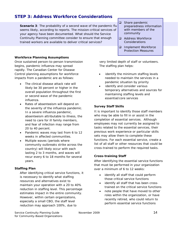## *STEP 3: Address Workforce Considerations*

*Scenario 3: The probability of a second wave of the pandemic flu seems likely, according to reports. The mission-critical services of your agency have been documented. What should the Service Continuity Planning committee consider to ensure that enough trained workers are available to deliver critical services?* 

#### *Workforce Planning Assumptions*

Once sustained person-to-person transmission begins, pandemic influenza may spread rapidly. The Canadian Center for Disease Control planning assumptions for workforce impacts from a pandemic are as follows:

- The clinical disease attack rate will likely be 30 percent or higher in the overall population throughout the first or second wave of the pandemic influenza.
- Rates of absenteeism will depend on the severity of the influenza pandemic. In a severe influenza pandemic, absenteeism attributable to illness, the need to care for ill family members, and fear of infection may range from 20 to 40 percent.
- Pandemic waves may last from 6 to 12 weeks in affected communities.
- Multiple waves (periods where community outbreaks strike across the country) will likely occur with each lasting 2 to 3 months, and waves will recur every 6 to 18 months for several years.

#### *Staffing Plan*

After identifying critical service functions, it is necessary to identify what staffing resources and alternatives exist to maintain your operation with a 20 to 40% reduction in staffing level. This percentage estimates impact in the entire community. However, within certain organizations, especially a small CBO, the staff level reduction may approach 100%, due to

□ Share pandemic preparedness information with members of the community

- Address Workforce Considerations
- **Implement Workforce** Protection Measures

very limited depth of staff or volunteers. The staffing plan helps:

- identify the minimum staffing levels needed to maintain the services in a pandemic situation by priority
- identify and consider various temporary alternatives and sources for maintaining staffing levels and essential/core services

#### *Survey Staff Skills*

It is important to identify those staff members who may be able to fill in or assist in the completion of essential services. Although employees may not currently be assigned to tasks related to the essential services, their previous work experience or particular skills sets may allow them to complete these functions. For each essential service, create a list of all staff or other resources that could be cross-trained to perform the required tasks.

#### *Cross-training Staff*

After identifying the essential service functions that must be performed in your organization over a minimum of 6 to 12 weeks:

- identify all staff that could perform those critical service functions
- identify all staff that has been crosstrained on the critical service functions
- note people that have moved to other roles within the organization, or have recently retired, who could return to perform essential service functions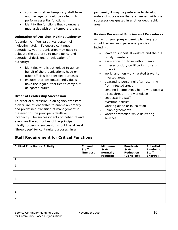- consider whether temporary staff from another agency could be called in to perform essential functions
- identify the functions that volunteers may assist with on a temporary basis

#### *Delegation of Decision-Making Authority*

A pandemic influenza strikes personnel indiscriminately. To ensure continued operations, your organization may need to delegate the authority to make policy and operational decisions. A delegation of authority:

- identifies who is authorized to act on behalf of the organization's head or other officials for specified purposes
- ensures that designated individuals have the legal authorities to carry out delegated duties

#### *Order of Leadership Succession*

An order of succession in an agency transfers a clear line of leadership to enable an orderly and predefined transition of management in the event of the principal's death or incapacity. The successor acts on behalf of and exercises the authorities of the principal. Ideally, orders of succession should be at least "three deep" for continuity purposes. In a

**Staff Requirement for Critical Functions** 

pandemic, it may be preferable to develop orders of succession that are deeper, with one successor designated in another geographic area.

#### *Review Personnel Policies and Procedures*

As part of your pre-pandemic planning, you should review your personnel policies including:

- leave to support ill workers and their ill family members
- assistance for those without leave
- fitness-for-duty certification to return to work
- work- and non-work-related travel to infected areas
- quarantine personnel after returning from infected areas
- sending ill employees home who pose a direct threat in the workplace
- sequestering staff
- overtime policies
- working alone or in isolation
- union agreements
- worker protection while delivering services

| <b>Critical Function or Activity</b> | Current<br><b>Staff</b><br><b>Numbers</b> | <b>Minimum</b><br><b>Staff</b><br>normally<br>required | Pandemic<br><b>Staff</b><br>Reduction<br>(up to 40%) | Potential<br>Pandemic<br><b>Staff</b><br>Shortfall |
|--------------------------------------|-------------------------------------------|--------------------------------------------------------|------------------------------------------------------|----------------------------------------------------|
| 1.                                   |                                           |                                                        |                                                      |                                                    |
| 2.                                   |                                           |                                                        |                                                      |                                                    |
| 3.                                   |                                           |                                                        |                                                      |                                                    |
| 4.                                   |                                           |                                                        |                                                      |                                                    |
| 5.                                   |                                           |                                                        |                                                      |                                                    |
| 6.                                   |                                           |                                                        |                                                      |                                                    |
| 7.                                   |                                           |                                                        |                                                      |                                                    |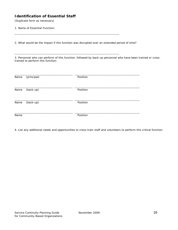#### **Identification of Essential Staff**

*(Duplicate form as necessary)* 

1. Name of Essential Function:

2. What would be the impact if this function was disrupted over an extended period of time?

\_\_\_\_\_\_\_\_\_\_\_\_\_\_\_\_\_\_\_\_\_\_\_\_\_\_\_\_\_\_\_\_\_\_\_\_\_\_\_\_\_\_\_\_\_\_\_\_\_\_\_\_\_\_\_\_\_\_\_\_\_\_\_

\_\_\_\_\_\_\_\_\_\_\_\_\_\_\_\_\_\_\_\_\_\_\_\_\_\_\_\_\_\_\_\_\_\_\_\_\_\_\_\_\_\_\_\_\_\_\_\_\_\_\_\_\_\_\_\_\_\_\_\_\_\_\_

3. Personnel who can perform of this function, followed by back-up personnel who have been trained or crosstrained to perform this function:

| Name | (principal) | Position |  |
|------|-------------|----------|--|
| Name | (back-up)   | Position |  |
| Name | (back-up)   | Position |  |
| Name |             | Position |  |

4. List any additional needs and opportunities to cross-train staff and volunteers to perform this critical function.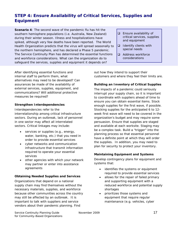## *STEP 4: Ensure Availability of Critical Services, Supplies and Equipment*

*Scenario 4: The second wave of the pandemic flu has hit the southern hemisphere populations (i.e. Australia, New Zealand) during their winter season. Illness and hospitalizations have spiked, although very few deaths have been reported. The World Health Organization predicts that the virus will spread seasonally to the northern hemisphere, and has declared a Phase 5 pandemic. The Service Continuity Plan has determined the essential functions and workforce considerations. What can the organization do to safeguard the services, supplies and equipment it depends on?* 

After identifying essential functions and internal staff to perform them, what alternatives may need to be developed? Can assurances be made of the availability of external services, supplies, equipment, and communications? Will additional protective measures be required?

#### *Strengthen Interdependencies*

Interdependencies refer to the interrelationship among critical infrastructure sectors. During an outbreak, lack of personnel in one sector may affect all interrelated sectors. Critical linkages may include:

- services or supplies (e.g., energy, water, banking, etc.) that you need in order to provide essential services
- cyber networks and communication infrastructure that transmit information required to operate your essential services
- other agencies with which your network may partner or enter into assistance agreements

#### *Obtaining Needed Supplies and Services*

Organizations that depend on a national supply chain may find themselves without the necessary materials, supplies, and workforce because other communities across the country may still be affected by an outbreak. It is important to talk with suppliers and service vendors about their pandemic planning. Find

- $\Box$  Ensure availability of critical services, supplies and equipment
- $\Box$  Identify clients with special needs
- **Q** Address workforce considerations

out how they intend to support their customers and where they feel their limits are.

#### *Building an Inventory of Critical Supplies*

The impacts of a pandemic could seriously interrupt your supply chain, so it is important to coordinate with suppliers ahead of time to ensure you can obtain essential items. Stock enough supplies for the first wave, if possible. Stocking supplies for the anticipated 6 to 12 week first wave will need to be covered in the organization's budget and may require some persuasion. Ensure that supplies are staged and available at each worksite. Staging may be a complex task. Build a "trigger" into the planning process so that essential personnel have a definite point at which they will order the supplies. In addition, you may need to plan for security to protect your inventory.

#### *Maintaining Equipment and Systems*

Develop contingency plans for equipment and systems that:

- identifies the systems or equipment required to provide essential services
- allows for the repair of failed primary and supporting equipment with a reduced workforce and potential supply shortages
- prioritizes those systems and equipment that require regular maintenance (e.g. vehicles, cyber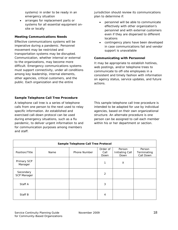systems) in order to be ready in an emergency situation

• arranges for replacement parts or systems for all essential equipment onsite or locally

#### *Meeting Communications Needs*

Effective communications systems will be imperative during a pandemic. Personnel movement may be restricted and transportation systems may be disrupted. Communication, whether internal or external to the organizations, may become more difficult. Emergency communications systems must support connectivity, under all conditions among key leadership, internal elements, other agencies, critical customers, and the public. Each organization and the entire

jurisdiction should review its communications plan to determine if:

- personnel will be able to communicate effectively with other organization's personnel and with external customers even if they are dispersed to different locations
- contingency plans have been developed in case communications fail and vendor support is unavailable

#### *Communicating with Personnel*

It may be appropriate to establish hotlines, web postings, and/or telephone trees to communicate to off-site employees in a consistent and timely fashion with information on agency status, service updates, and future actions.

#### *Sample Telephone Call Tree Procedure*

A telephone call tree is a series of telephone calls from one person to the next used to relay specific information. An established and exercised call-down protocol can be used during emergency situations, such as a flu pandemic, to deliver urgent information to and for communication purposes among members and staff.

This sample telephone call tree procedure is intended to be adapted for use by individual agencies, based on their own organizational structure. An alternate procedure is one person can be assigned to call each member within his or her department or section.

| Sample Telephone Call Tree Protocol |      |              |                          |                                          |                                    |  |
|-------------------------------------|------|--------------|--------------------------|------------------------------------------|------------------------------------|--|
| Position/Title                      | Name | Phone Number | Order of<br>Call<br>Down | Person<br><b>Initiating Call</b><br>Down | Person<br>Terminating<br>Call Down |  |
| Primary SCP<br>Manager              |      |              |                          | X                                        |                                    |  |
| Secondary<br><b>SCP Manager</b>     |      |              | 2                        |                                          |                                    |  |
| Staff A                             |      |              | 3                        |                                          |                                    |  |
| Staff B                             |      |              | 4                        |                                          |                                    |  |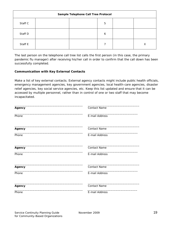| Sample Telephone Call Tree Protocol |  |  |   |  |   |
|-------------------------------------|--|--|---|--|---|
| Staff C                             |  |  | 5 |  |   |
| Staff D                             |  |  | 6 |  |   |
| Staff E                             |  |  |   |  | Х |

The last person on the telephone call tree list calls the first person (in this case, the primary pandemic flu manager) after receiving his/her call in order to confirm that the call down has been successfully completed.

#### *Communication with Key External Contacts*

Make a list of key external contacts. External agency contacts might include public health officials, emergency management agencies, key government agencies, local health-care agencies, disaster relief agencies, key social service agencies, etc. Keep this list updated and ensure that it can be accessed by multiple personnel, rather than in control of one or two staff that may become incapacitated.

| Agency        | <b>Contact Name</b> |
|---------------|---------------------|
| Phone         | E-mail Address      |
| Agency        | <b>Contact Name</b> |
| Phone         | E-mail Address      |
| <b>Agency</b> | <b>Contact Name</b> |
| Phone         | E-mail Address      |
| Agency        | <b>Contact Name</b> |
| Phone         | E-mail Address      |
| <b>Agency</b> | <b>Contact Name</b> |
| Phone         | E-mail Address      |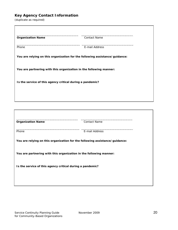## **Key Agency Contact Information**

*(duplicate as required)* 

| <b>Organization Name</b>                                                    | <b>Contact Name</b> |
|-----------------------------------------------------------------------------|---------------------|
| Phone                                                                       | E-mail Address      |
| You are relying on this organization for the following assistance/guidance: |                     |
| You are partnering with this organization in the following manner:          |                     |
| Is the service of this agency critical during a pandemic?                   |                     |
|                                                                             |                     |
|                                                                             |                     |

| <b>Organization Name</b> | Contact Name                                                                |
|--------------------------|-----------------------------------------------------------------------------|
| Phone                    | E-mail Address                                                              |
|                          | You are relying on this organization for the following assistance/guidance: |
|                          | You are partnering with this organization in the following manner:          |
|                          | Is the service of this agency critical during a pandemic?                   |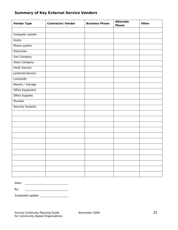# **Vendor Type Contractor/Vendor Business Phone Alternate Phone Other**  Computer system **Hydro** Phone system **Electrician** Gas Company Glass Company HVAC Service Janitorial Service Locksmith Movers / Storage Office Equipment Office Supplies Plumber Security Systems

#### **Summary of Key External Service Vendors**

Date: \_\_\_\_\_\_\_\_\_\_\_\_\_\_\_\_\_\_\_\_\_\_\_\_\_\_

By: \_\_\_\_\_\_\_\_\_\_\_\_\_\_\_\_\_\_\_\_\_\_\_\_\_\_

Scheduled update: \_\_\_\_\_\_\_\_\_\_\_\_\_\_\_\_\_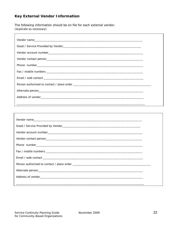## **Key External Vendor Information**

The following information should be on file for each external vendor: (duplicate as necessary)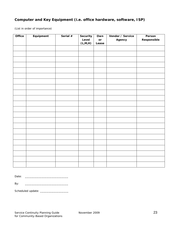## **Computer and Key Equipment (i.e. office hardware, software, ISP)**

*(List in order of importance)* 

| Office | Equipment | Serial $#$ | Security | Own   | Vendor / Service | Person      |
|--------|-----------|------------|----------|-------|------------------|-------------|
|        |           |            | Level    | or    | Agency           | Responsible |
|        |           |            | (L,M,H)  | Lease |                  |             |
|        |           |            |          |       |                  |             |
|        |           |            |          |       |                  |             |
|        |           |            |          |       |                  |             |
|        |           |            |          |       |                  |             |
|        |           |            |          |       |                  |             |
|        |           |            |          |       |                  |             |
|        |           |            |          |       |                  |             |
|        |           |            |          |       |                  |             |
|        |           |            |          |       |                  |             |
|        |           |            |          |       |                  |             |
|        |           |            |          |       |                  |             |
|        |           |            |          |       |                  |             |
|        |           |            |          |       |                  |             |
|        |           |            |          |       |                  |             |
|        |           |            |          |       |                  |             |
|        |           |            |          |       |                  |             |
|        |           |            |          |       |                  |             |
|        |           |            |          |       |                  |             |
|        |           |            |          |       |                  |             |
|        |           |            |          |       |                  |             |
|        |           |            |          |       |                  |             |
|        |           |            |          |       |                  |             |

Date: \_\_\_\_\_\_\_\_\_\_\_\_\_\_\_\_\_\_\_\_\_\_\_\_\_\_

By: \_\_\_\_\_\_\_\_\_\_\_\_\_\_\_\_\_\_\_\_\_\_\_\_\_\_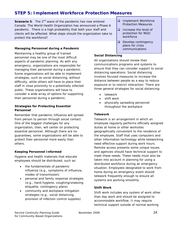## *STEP 5: Implement Workforce Protection Measures*

*Scenario 5: The 2nd wave of the pandemic has now entered Canada. The World Health Organization has announced a Phase 6 pandemic. There is a high probability that both your staff and clients will be affected. What steps should the organization take to protect the workforce?* 

#### *Managing Personnel during a Pandemic*

Maintaining a healthy group of trained personnel may be one of the most difficult aspects of pandemic planning. As with any emergency, organizations are responsible for managing their personnel during a pandemic. Some organizations will be able to implement strategies, such as social distancing, without difficulty, while others will have to place their staff in close proximity to a potentially infected public. These organizations will have to consider a wide array of options for supporting their personnel during a pandemic.

#### *Strategies for Protecting Essential Personnel*

Remember that pandemic influenza will spread from person to person through social contact. One of the biggest challenges for any organization, then, will center on protecting essential personnel. Although there are no guarantees, some organizations will be able to protect their personnel more easily than others.

#### *Keeping Personnel Informed*

Hygiene and health materials that educate employees should be distributed, such as:

- the fundamentals of pandemic influenza (e.g., symptoms of influenza, modes of transmission)
- personal and family response strategies (e.g., hand hygiene, coughing/sneezing etiquette, contingency plans)
- community and workplace mitigation strategies (e.g., social distancing, provision of infection control supplies)
- **Implement Workforce** Protection Measures
- □ Increase the level of protection for NGO workforce
- $\Box$  Develop contingency plans for crisis communications

#### *Social Distancing*

All organizations should review their communications programs and systems to ensure that they can consider support to social distancing operations. Social distancing involves focused measures to increase the distance between people as a way to reduce exposure or to restrict interaction. There are three general strategies for social distancing:

- telework
- shift work
- physically spreading personnel throughout the workplace

#### *Telework*

Telework is an arrangement in which an employee regularly performs officially assigned duties at home or other worksites geographically convenient to the residence of the employee. Staff that uses computers and other information technology while teleworking need effective support during work hours. Remote access presents some unique issues, and agencies should have technical support to meet these needs. These needs must also be taken into account in planning for using a distributed workforce during an emergency situation. Employees designated to work from home during an emergency event should telework frequently enough to ensure all systems are working smoothly.

#### *Shift Work*

Shift work includes any system of work other than day work and should be assigned to accommodate workflow. It may require technical support outside of normal working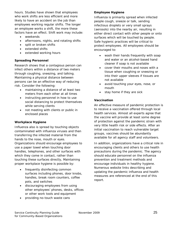hours. Studies have shown that employees who work shifts are less efficient and more likely to have an accident on the job than employees working regular shifts. The longer an employee works a shift, the more these factors have an effect. Shift work may include:

- weekends
- afternoons, nights, and rotating shifts
- split or broken shifts
- extended shifts
- extended working hours

#### *Spreading Personnel*

Research shows that a contagious person can infect others within a distance of two meters through coughing, sneezing, and talking. Maintaining a physical distance between persons can be an effective way of reducing risk. Consider the following:

- maintaining a distance of at least two meters from each other at all times
- instructing personnel in how to use social distancing to protect themselves while serving clients
- not meeting with clients or public in enclosed places

#### *Workplace Hygiene*

Influenza also is spread by touching objects contaminated with influenza viruses and then transferring the infected material from the hands to the nose, mouth or eyes. Organizations should encourage employees to use a paper towel when touching door handles, telephones, and other surfaces with which they come in contact, rather than touching these surfaces directly, Maintaining proper workplace hygiene is possible by:

- frequently disinfecting common surfaces including phones, door knobs, handles, break room counters, coffee pots, and switches
- discouraging employees from using other employees' phones, desks, offices or other work tools and equipment
- providing no-touch waste cans

#### *Employee Hygiene*

Influenza is primarily spread when infected people cough, sneeze or talk, sending infectious droplets or very small sprays (aerosols) into the nearby air, resulting in either direct contact with other people or onto surfaces which will be touched by people. Safe hygienic practices will be critical to protect employees. All employees should be encouraged to:

- wash their hands frequently with soap and water or an alcohol-based hand cleaner if soap is not available
- cover their mouths and noses with a tissue when coughing or sneezing or into their upper sleeves if tissues are not available
- avoid touching your eyes, nose, or mouth
- stay home if they are sick

#### *Vaccination*

An effective measure of pandemic protection is to receive a vaccination offered through local health services. Almost all experts agree that the vaccine will provide at least some degree of protection against the pandemic strain with very little health risk or side effects. After an initial vaccination to reach vulnerable target groups, vaccines should be abundantly available for all agency staff and volunteers.

In addition, organizations have a critical role in encouraging clients and others to use health precautions during the pandemic. The agency should educate personnel on the influenza prevention and treatment methods and encourage individuals in healthy hygiene. Numerous website links describing and updating the pandemic influenza and health measures are referenced at the end of this report.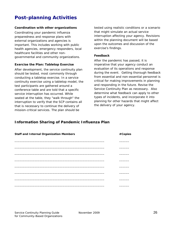# **Post-planning Activities**

#### *Coordination with other organizations*

Coordinating your pandemic influenza preparedness and response plans with external organizations and agencies is important. This includes working with public health agencies, emergency responders, local healthcare facilities and other nongovernmental and community organizations.

#### *Exercise the Plan: Tabletop Exercise*

After development, the service continuity plan should be tested, most commonly through conducting a tabletop exercise. In a service continuity exercise using a tabletop model, the test participants are gathered around a conference table and are told that a specific service interruption has occurred. While seated at the table, they "walk through" the interruption to verify that the SCP contains all that is necessary to continue the delivery of mission-critical services. The plan should be

tested using realistic conditions or a scenario that might simulate an actual service interruption affecting your agency. Revisions within the planning document will be based upon the outcomes and discussion of the exercise's findings.

#### *Feedback*

After the pandemic has passed, it is imperative that your agency conduct an evaluation of its operations and response during the event. Getting thorough feedback from essential and non-essential personnel is critical for making improvements in planning and responding in the future. Revise the Service Continuity Plan as necessary. Also determine what feedback can apply to other types of incidents, and incorporate it into planning for other hazards that might affect the delivery of your agency.

#### **Information Sharing of Pandemic Influenza Plan**

| <b>Staff and Internal Organization Members</b> | #Copies |
|------------------------------------------------|---------|
|                                                |         |
|                                                |         |
|                                                |         |
|                                                |         |
|                                                |         |
|                                                |         |
|                                                |         |
|                                                |         |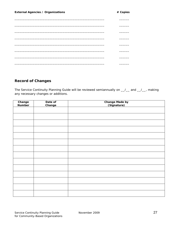\_\_\_\_\_\_\_\_\_\_\_\_\_\_\_\_\_\_\_\_\_\_\_\_\_\_\_\_\_\_\_\_\_\_\_\_\_\_\_\_\_\_\_\_\_\_\_\_\_\_\_\_\_\_ \_\_\_\_\_\_

### **Record of Changes**

The Service Continuity Planning Guide will be reviewed semiannually on  $\_\_\_\_\_\_$  and  $\_\_\_\_\_$ , making any necessary changes or additions.

| Change<br>Number | Date of<br>Change | <b>Change Made by</b><br>(Signature) |
|------------------|-------------------|--------------------------------------|
|                  |                   |                                      |
|                  |                   |                                      |
|                  |                   |                                      |
|                  |                   |                                      |
|                  |                   |                                      |
|                  |                   |                                      |
|                  |                   |                                      |
|                  |                   |                                      |
|                  |                   |                                      |
|                  |                   |                                      |
|                  |                   |                                      |
|                  |                   |                                      |
|                  |                   |                                      |
|                  |                   |                                      |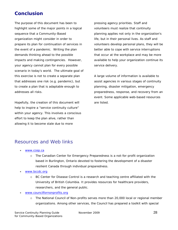## **Conclusion**

The purpose of this document has been to highlight some of the major points in a logical sequence that a Community-Based organization might consider in order to prepare its plan for continuation of services in the event of a pandemic. Writing the plan demands thinking ahead to the possible impacts and making contingencies. However, your agency cannot plan for every possible scenario in today's world. The ultimate goal of this exercise is not to create a separate plan that addresses one risk (e.g. pandemic), but to create a plan that is adaptable enough to addresses all risks.

Hopefully, the creation of this document will help to inspire a "service continuity culture" within your agency. This involves a conscious effort to keep the plan alive, rather than allowing it to become stale due to more

pressing agency priorities. Staff and volunteers must realize that continuity planning applies not only in the organization's life, but in their personal lives. As staff and volunteers develop personal plans, they will be better able to cope with service interruptions that occur at the workplace and may be more available to help your organization continue its service delivery.

A large volume of information is available to assist agencies in various stages of continuity planning, disaster mitigation, emergency preparedness, response, and recovery from an event. Some applicable web-based resources are listed.

## Resources and Web links

- www.ccep.ca
	- o The Canadian Center for Emergency Preparedness is a not-for-profit organization based in Burlington, Ontario devoted to fostering the development of a disaster resilient Canada through individual preparedness.
- www.bccdc.org
	- BC Center for Disease Control is a research and teaching centre affiliated with the University of British Columbia. It provides resources for healthcare providers, researchers, and the general public.
- www.councilfornonprofits.org
	- o The National Council of Non-profits serves more than 20,000 local or regional member organizations. Among other services, the Council has prepared a toolkit with special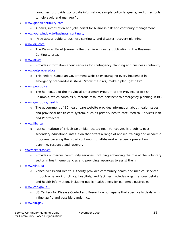resources to provide up-to-date information, sample policy language, and other tools to help avoid and manage flu.

- www.globalcontinuity.com
	- $\circ$  A news, information and jobs portal for business risk and continuity management.
- www.yourwindow.to/business-continuity
	- o Free access guide to business continuity and disaster recovery planning.
- www.drj.com
	- o The Disaster Relief Journal is the premiere industry publication in the Business Continuity area.
- www.dri.ca
	- o Provides information about services for contingency planning and business continuity.
- www.getprepared.ca
	- o This Federal Canadian Government website encouraging every household in emergency preparedness steps: "know the risks; make a plan; get a kit".
- www.pep.bc.ca
	- o The homepage of the Provincial Emergency Program of the Province of British Columbia, which contains numerous resources pertinent to emergency planning in BC.
- www.gov.bc.ca/health
	- $\circ$  The government of BC health care website provides information about health issues and provincial health care system, such as primary health care, Medical Services Plan and Pharmacare.
- www.iibc.ca
	- o Justice Institute of British Columbia, located near Vancouver, is a public, post secondary educational institution that offers a range of applied training and academic programs covering the broad continuum of all-hazard emergency prevention, planning, response and recovery.
- Www.redcross.ca
	- $\circ$  Provides numerous community services, including enhancing the role of the voluntary sector in health emergencies and providing resources to assist them.
- www.viha/ca
	- o Vancouver Island Health Authority provides community health and medical services through a network of clinics, hospitals, and facilities. Includes organizational details and health information, including public health alerts for pandemic outbreaks.
- www.cdc.gov/flu
	- o US Centers for Disease Control and Prevention homepage that specifically deals with influenza flu and possible pandemics.
- www.flu.gov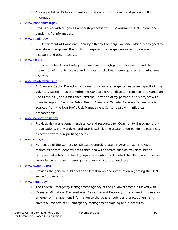- $\circ$  Access portal to US Government information on H1N1, avian and pandemic flu information.
- www.pandemicflu.gov
	- $\circ$  Cross-linked with flu.gov as a one-stop access to US Government H1N1, avian and pandemic flu information.
- www.ready.gov
	- o US Department of Homeland Security's Ready Campaign website, which is designed to educate and empower the public to prepare for emergencies including natural disasters and other hazards.
- www.phac.ca
	- $\circ$  Protects the health and safety of Canadians through public information and the prevention of chronic disease and injuries, public health emergencies, and infectious diseases
- www.readyforcrisis.ca
	- o A Voluntary Sector Project which aims to increase emergency response capacity in the voluntary sector, thus strengthening Canada's overall disaster response. The Canadian Red Cross, St. John Ambulance, and the Salvation Army partner in this project with financial support from the Public Health Agency of Canada. Excellent online tutorial adapted from the Non-Profit Risk Management Center deals with influenza preparedness.
- www.nonprofitrisk.org
	- o Provides risk management assistance and resources for Community-Based nonprofit organizations. Many articles and tutorials, including a tutorial on pandemic readiness directed toward non-profit agencies.
- www.cdc.gov
	- o Homepage of the Centers for Disease Control, located in Atlanta, Ga. The CDC maintains several departments concerned with sectors such as travelers' health, occupational safety and health, injury prevention and control, healthy living, disease surveillance, and health emergency planning and preparedness.
- www.swineflu.org
	- $\circ$  Provides the general public with the latest news and information regarding the H1N1 swine flu pandemic.
- www.fema.gov
	- o The Federal Emergency Management Agency of the US government is tasked with
	- o Disaster Mitigation, Preparedness, Response and Recovery. It is a clearing house for emergency management information to the general public and practitioners, and covers all aspects of US emergency management training and procedures.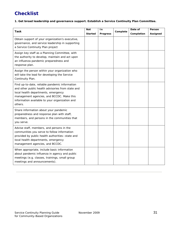# **Checklist**

**1. Get broad leadership and governance support. Establish a Service Continuity Plan Committee.** 

| Task                                                                                                                                                                                                                                                 | <b>Not</b><br><b>Started</b> | In<br><b>Progress</b> | Complete | Date of<br>Completion | Person<br>Assigned |
|------------------------------------------------------------------------------------------------------------------------------------------------------------------------------------------------------------------------------------------------------|------------------------------|-----------------------|----------|-----------------------|--------------------|
| Obtain support of your organization's executive,<br>governance, and service leadership in supporting<br>a Service Continuity Plan project                                                                                                            |                              |                       |          |                       |                    |
| Assign key staff as a Planning Committee, with<br>the authority to develop, maintain and act upon<br>an influenza pandemic preparedness and<br>response plan.                                                                                        |                              |                       |          |                       |                    |
| Assign the person within your organization who<br>will take the lead for developing the Service<br>Continuity Plan.                                                                                                                                  |                              |                       |          |                       |                    |
| Find up-to-date, reliable pandemic information<br>and other public health advisories from state and<br>local health departments, emergency<br>management agencies, and BCCDC. Make this<br>information available to your organization and<br>others. |                              |                       |          |                       |                    |
| Share information about your pandemic<br>preparedness and response plan with staff,<br>members, and persons in the communities that<br>you serve.                                                                                                    |                              |                       |          |                       |                    |
| Advise staff, members, and persons in the<br>communities you serve to follow information<br>provided by public health authorities--state and<br>local health departments, emergency<br>management agencies, and BCCDC.                               |                              |                       |          |                       |                    |
| When appropriate, include basic information<br>about pandemic influenza in agency and public<br>meetings (e.g. classes, trainings, small group<br>meetings and announcements).                                                                       |                              |                       |          |                       |                    |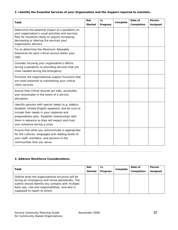#### **2. Identify the Essential Services of your Organization and the Support required to maintain.**

| Task                                                                                                                                                                                                                                                                                       | <b>Not</b>     | In              | Complete | Date of    | Person   |
|--------------------------------------------------------------------------------------------------------------------------------------------------------------------------------------------------------------------------------------------------------------------------------------------|----------------|-----------------|----------|------------|----------|
|                                                                                                                                                                                                                                                                                            | <b>Started</b> | <b>Progress</b> |          | Completion | Assigned |
| Determine the potential impact of a pandemic on<br>your organization's usual activities and services.<br>Plan for situations likely to require increasing,<br>decreasing or altering the services your<br>organization delivers.                                                           |                |                 |          |            |          |
| Try to determine the Maximum Allowable<br>Downtime for each critical service within your<br>CBO.                                                                                                                                                                                           |                |                 |          |            |          |
| Consider focusing your organization's efforts<br>during a pandemic to providing services that are<br>most needed during the emergency                                                                                                                                                      |                |                 |          |            |          |
| Prioritize the organizational support functions that<br>are most essential to maintaining your critical<br>client services                                                                                                                                                                 |                |                 |          |            |          |
| Assure that critical records are safe, accessible,<br>and recoverable in the event of a service<br>disruption.                                                                                                                                                                             |                |                 |          |            |          |
| Identify persons with special needs (e.g. elderly,<br>disabled, limited English speakers) and be sure to<br>include their needs in your response and<br>preparedness plan. Establish relationships with<br>them in advance so they will expect and trust<br>your presence during a crisis. |                |                 |          |            |          |
| Ensure that what you communicate is appropriate<br>for the cultures, languages and reading levels of<br>your staff, members, and persons in the<br>communities that you serve.                                                                                                             |                |                 |          |            |          |

#### **3. Address Workforce Considerations:**

| Task                                                                                                                                                                                                                                          | <b>Not</b>     | In.             |          | Date of    | Person   |
|-----------------------------------------------------------------------------------------------------------------------------------------------------------------------------------------------------------------------------------------------|----------------|-----------------|----------|------------|----------|
|                                                                                                                                                                                                                                               | <b>Started</b> | <b>Progress</b> | Complete | Completion | Assigned |
| Outline what the organizational structure will be<br>during an emergency and revise periodically. The<br>outline should identify key contacts with multiple<br>back-ups, role and responsibilities, and who is<br>supposed to report to whom. |                |                 |          |            |          |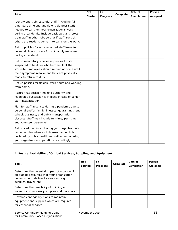| Task                                                                                                                                                                                                                                                                                                                  | <b>Not</b>     | In              | Complete | Date of    | Person   |
|-----------------------------------------------------------------------------------------------------------------------------------------------------------------------------------------------------------------------------------------------------------------------------------------------------------------------|----------------|-----------------|----------|------------|----------|
|                                                                                                                                                                                                                                                                                                                       | <b>Started</b> | <b>Progress</b> |          | Completion | Assigned |
| Identify and train essential staff (including full-<br>time, part-time and unpaid or volunteer staff)<br>needed to carry on your organization's work<br>during a pandemic. Include back up plans, cross-<br>train staff in other jobs so that if staff are sick,<br>others are ready to come in to carry on the work. |                |                 |          |            |          |
| Set up policies for non-penalized staff leave for<br>personal illness or care for sick family members<br>during a pandemic.                                                                                                                                                                                           |                |                 |          |            |          |
| Set up mandatory sick-leave policies for staff<br>suspected to be ill, or who become ill at the<br>worksite. Employees should remain at home until<br>their symptoms resolve and they are physically<br>ready to return to duty                                                                                       |                |                 |          |            |          |
| Set up policies for flexible work hours and working<br>from home.                                                                                                                                                                                                                                                     |                |                 |          |            |          |
| Assure that decision-making authority and<br>leadership succession is in place in case of senior<br>staff incapacitation.                                                                                                                                                                                             |                |                 |          |            |          |
| Plan for staff absences during a pandemic due to<br>personal and/or family illnesses, quarantines, and<br>school, business, and public transportation<br>closures. Staff may include full-time, part-time<br>and volunteer personnel.                                                                                 |                |                 |          |            |          |
| Set procedures for activating your organization's<br>response plan when an influenza pandemic is<br>declared by public health authorities and altering<br>your organization's operations accordingly.                                                                                                                 |                |                 |          |            |          |

#### **4. Ensure Availability of Critical Services, Supplies, and Equipment**

| Task                                                                                                                                                                | <b>Not</b><br><b>Started</b> | <u>In</u><br><b>Progress</b> | Complete | Date of<br>Completion | <b>Person</b><br>Assigned |
|---------------------------------------------------------------------------------------------------------------------------------------------------------------------|------------------------------|------------------------------|----------|-----------------------|---------------------------|
| Determine the potential impact of a pandemic<br>on outside resources that your organization<br>depends on to deliver its services (e.g.,<br>supplies, travel, etc.) |                              |                              |          |                       |                           |
| Determine the possibility of building an<br>inventory of necessary supplies and materials                                                                           |                              |                              |          |                       |                           |
| Develop contingency plans to maintain<br>equipment and supplies which are required<br>for essential services                                                        |                              |                              |          |                       |                           |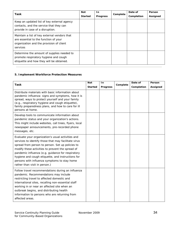| Task                                                                                                                                          | <b>Not</b><br><b>Started</b> | In.<br><b>Progress</b> | Complete | Date of<br>Completion | Person<br>Assigned |
|-----------------------------------------------------------------------------------------------------------------------------------------------|------------------------------|------------------------|----------|-----------------------|--------------------|
| Keep an updated list of key external agency<br>contacts, and the service that they can<br>provide in case of a disruption.                    |                              |                        |          |                       |                    |
| Maintain a list of key external vendors that<br>are essential to the function of your<br>organization and the provision of client<br>services |                              |                        |          |                       |                    |
| Determine the amount of supplies needed to<br>promote respiratory hygiene and cough<br>etiquette and how they will be obtained.               |                              |                        |          |                       |                    |

#### **5. Implement Workforce Protection Measures**

|                                                                                                                                                                                                                                                                                                                                                                                                              | <b>Not</b>     | In.             |          | Date of    | Person   |
|--------------------------------------------------------------------------------------------------------------------------------------------------------------------------------------------------------------------------------------------------------------------------------------------------------------------------------------------------------------------------------------------------------------|----------------|-----------------|----------|------------|----------|
| <b>Task</b>                                                                                                                                                                                                                                                                                                                                                                                                  | <b>Started</b> | <b>Progress</b> | Complete | Completion | Assigned |
| Distribute materials with basic information about<br>pandemic influenza: signs and symptoms, how it is<br>spread, ways to protect yourself and your family<br>(e.g., respiratory hygiene and cough etiquette),<br>family preparedness plans, and how to care for ill<br>persons at home.                                                                                                                     |                |                 |          |            |          |
| Develop tools to communicate information about<br>pandemic status and your organization's actions.<br>This might include websites, call trees, flyers, local<br>newspaper announcements, pre-recorded phone<br>messages, etc.                                                                                                                                                                                |                |                 |          |            |          |
| Evaluate your organization's usual activities and<br>services to identify those that may facilitate virus<br>spread from person to person. Set up policies to<br>modify these activities to prevent the spread of<br>pandemic influenza (e.g. guidance for respiratory<br>hygiene and cough etiquette, and instructions for<br>persons with influenza symptoms to stay home<br>rather than visit in person.) |                |                 |          |            |          |
| Follow travel recommendations during an influenza<br>pandemic. Recommendations may include<br>restricting travel to affected domestic and<br>international sites, recalling non-essential staff<br>working in or near an affected site when an<br>outbreak begins, and distributing health<br>information to persons who are returning from<br>affected areas.                                               |                |                 |          |            |          |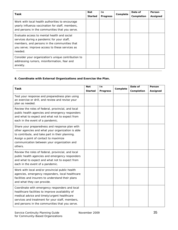| Task                                                                                                                                                                                                   | <b>Not</b><br><b>Started</b> | In.<br><b>Progress</b> | Complete | Date of<br>Completion | Person<br>Assigned |
|--------------------------------------------------------------------------------------------------------------------------------------------------------------------------------------------------------|------------------------------|------------------------|----------|-----------------------|--------------------|
| Work with local health authorities to encourage<br>yearly influenza vaccination for staff, members,<br>and persons in the communities that you serve.                                                  |                              |                        |          |                       |                    |
| Evaluate access to mental health and social<br>services during a pandemic for your staff,<br>members, and persons in the communities that<br>you serve; improve access to these services as<br>needed. |                              |                        |          |                       |                    |
| Consider your organization's unique contribution to<br>addressing rumors, misinformation, fear and<br>anxiety.                                                                                         |                              |                        |          |                       |                    |

#### **6. Coordinate with External Organizations and Exercise the Plan.**

|                                                                                                                                                                                                                                                           | <b>Not</b>     | In              |          | Date of    | Person   |
|-----------------------------------------------------------------------------------------------------------------------------------------------------------------------------------------------------------------------------------------------------------|----------------|-----------------|----------|------------|----------|
| <b>Task</b>                                                                                                                                                                                                                                               | <b>Started</b> | <b>Progress</b> | Complete | Completion | Assigned |
| Test your response and preparedness plan using<br>an exercise or drill, and review and revise your<br>plan as needed.                                                                                                                                     |                |                 |          |            |          |
| Review the roles of federal, provincial, and local<br>public health agencies and emergency responders<br>and what to expect and what not to expect from<br>each in the event of a pandemic.                                                               |                |                 |          |            |          |
| Share your preparedness and response plan with<br>other agencies and what your organization is able<br>to contribute, and take part in their planning.<br>Assign a point of contact to maximize<br>communication between your organization and<br>others. |                |                 |          |            |          |
| Review the roles of federal, provincial, and local<br>public health agencies and emergency responders<br>and what to expect and what not to expect from<br>each in the event of a pandemic.                                                               |                |                 |          |            |          |
| Work with local and/or provincial public health<br>agencies, emergency responders, local healthcare<br>facilities and insurers to understand their plans<br>and what they can provide.                                                                    |                |                 |          |            |          |
| Coordinate with emergency responders and local<br>healthcare facilities to improve availability of<br>medical advice and timely/urgent healthcare<br>services and treatment for your staff, members,<br>and persons in the communities that you serve.    |                |                 |          |            |          |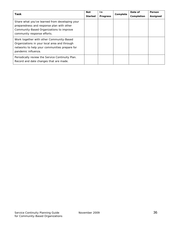| Task                                                                                                                                                                   | <b>Not</b>     | In.             | Complete | Date of    | Person   |
|------------------------------------------------------------------------------------------------------------------------------------------------------------------------|----------------|-----------------|----------|------------|----------|
|                                                                                                                                                                        | <b>Started</b> | <b>Progress</b> |          | Completion | Assigned |
| Share what you've learned from developing your<br>preparedness and response plan with other<br>Community-Based Organizations to improve<br>community response efforts. |                |                 |          |            |          |
| Work together with other Community-Based<br>Organizations in your local area and through<br>networks to help your communities prepare for<br>pandemic influenza.       |                |                 |          |            |          |
| Periodically review the Service Continuity Plan.<br>Record and date changes that are made.                                                                             |                |                 |          |            |          |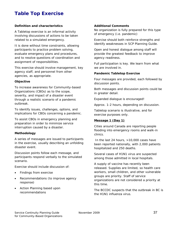# **Table Top Exercise**

#### *Definition and characteristics*

A Tabletop exercise is an informal activity involving discussions of actions to be taken related to a simulated emergency.

It is done without time constraints, allowing participants to practice problem solving, evaluate emergency plans and procedures, and to resolve questions of coordination and assignment of responsibilities.

This exercise should involve management, key agency staff, and personnel from other agencies, as appropriate.

#### *Objective*

To increase awareness for Community-based Organizations (CBOs) as to the scope, severity, and impact of a disaster event through a realistic scenario of a pandemic outbreak.

To identify issues, challenges, options, and implications for CBOs concerning a pandemic.

To assist CBOs in emergency planning and preparation in order to minimize service interruption caused by a disaster.

#### *Methodology*

A series of messages are issued to participants in the exercise, usually describing an unfolding disaster event.

Discussion points follow each message, and participants respond verbally to the simulated scenario.

Exercise should include discussion of:

- Findings from exercise
- Recommendations (to improve agency response)
- Action Planning based upon recommendations

#### *Additional Comments*

No organization is fully prepared for this type of emergency (i.e. pandemic)

Exercise should both reinforce strengths and identify weaknesses in SCP Planning Guide.

Open and honest dialogue among staff will provide the greatest feedback to improve agency readiness.

Full participation is key. We learn from what we are involved in.

#### *Pandemic Tabletop Exercise*

Four messages are provided, each followed by discussion points.

Both messages and discussion points could be in greater detail.

Expanded dialogue is encouraged!

Approx. 1-2 hours, depending on discussion.

Tabletop scenario is illustrative, and for exercise purposes only.

#### *Message 1 (Day 1)*

Cities around Canada are reporting people flooding into emergency rooms and walk-in clinics.

 In the last 24 hours, >10,000 cases have been reported nationally, with 2,000 patients hospitalized and 250 deaths.

Several cases of H1N1 virus are suspected among those admitted in local hospitals.

A supply of vaccine has recently been released. Supplies are limited, so health care workers, small children, and other vulnerable groups are priority. Staff of service organizations are not considered a priority at this time.

The BCCDC suspects that the outbreak in BC is the H1N1 influenza virus.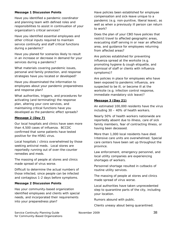#### *Message 1 Discussion Points*

Have you identified a pandemic coordinator and planning team with defined roles and responsibilities to assist in continuation of your organization's critical services?

Have you identified essential employees and other critical inputs required to maintain service continuity and staff critical functions during a pandemic?

Have you planed for scenarios likely to result in an increase or decrease in demand for your services during a pandemic?

What materials covering pandemic issues, personal and family protection, and response strategies have you located or developed?

Have you disseminated the information to employees about your pandemic preparedness and response plan?

What authorities, triggers, and procedures for activating (and terminating) the response plan, altering your core services, and maintaining critical functions have you developed as the pandemic effect spreads?

#### *Message 2 (Day 7)*

Our local hospitals and clinics have seen more than 4,500 cases of influenza. BCCDC confirmed that some patients have tested positive for the H5N1 virus.

Local hospitals / clinics overwhelmed by those seeking antiviral meds. Local stores are reportedly running out of over-the-counter remedies and meds.

The massing of people at stores and clinics made spread of virus worse.

Difficult to determine the actual numbers of those infected, since people can be infected and contagious 1-2 days before symptoms.

#### *Message 2 Discussion Points*

Has your community-based organization identified employees and clients with special needs, and incorporated their requirements into your preparedness plan?

Have policies been established for employee compensation and sick-leave unique to a pandemic (e.g. non-punitive, liberal leave), as well as when a previously ill person can return to work?

Does the plan of your CBO have policies that restrict travel to affected geographic areas, evacuating staff serving in or near an affected area, and guidance for employees returning from affected areas?

Are policies established for preventing influenza spread at the worksite (e.g. promoting hygiene & cough etiquette, and dismissal of staff or clients with influenza symptoms)?

Are policies in place for employees who have been exposed to pandemic influenza, are suspected to be ill, or become ill at the worksite (e.g. infection control response, immediate mandatory sick leave)?

#### *Message 3 (Day 21)*

An estimated 100,000 residents have the virus including 30 – 40% of health workers.

Nearly 50% of health workers nationwide are reportedly absent due to illness, care of sick family members, fear of contracting illness, or having been deceased.

More than 1,000 local residents have died. Intensive care units are overwhelmed. Special care centers have been set up throughout the province.

Law enforcement, emergency personnel, and local utility companies are experiencing shortages of workers.

Personnel shortage resulted in cutbacks of routine utility services.

The massing of people at stores and clinics made spread of virus worse.

Local authorities have taken unprecedented step to quarantine parts of the city, including your location.

Rumors abound with public.

Clients uneasy about being quarantined.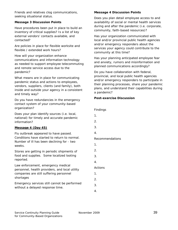Friends and relatives clog communications, seeking situational status.

#### *Message 3 Discussion Points*

Have procedures been put in place to build an inventory of critical supplies? Is a list of key external vendors' contacts available, and contacted?

Are policies in place for flexible worksite and flexible / extended work hours?

How will your organization enhance communications and information technology as needed to support employee telecommuting and remote service access due to the pandemic?

What means are in place for communicating pandemic status and actions to employees, vendors, suppliers, clients (and family), both inside and outside your agency in a consistent and timely way?

Do you have redundancies in the emergency contact system of your community-based organization?

Does your plan identify sources (i.e. local, national) for timely and accurate pandemic information?

#### *Message 4 (Day 45)*

Flu outbreak appeared to have passed. Conditions have started to return to normal. Number of ill has been declining for - two weeks.

Stores are getting in periodic shipments of food and supplies. Some localized looting reported.

Law enforcement, emergency medical personnel, health providers, and local utility companies are still suffering personnel shortages

Emergency services still cannot be performed without a delayed response time.

#### *Message 4 Discussion Points*

Does you plan detail employee access to and availability of social or mental health services during and after the pandemic (i.e. corporate, community, faith-based resources)?

Has your organization communicated with local and/or provincial public health agencies and/or emergency responders about the services your agency could contribute to the community at this time?

Has your planning anticipated employee fear and anxiety, rumors and misinformation and planned communications accordingly?

Do you have collaboration with federal, provincial, and local public health agencies and/or emergency responders to participate in their planning processes, share your pandemic plans, and understand their capabilities during a pandemic?

#### *Post-exercise Discussion*

Findings

- 1.
- 2.
- 3.
- 4.

#### Recommendations

1.

2.

- 
- 3.
- 4.

Actions

- 1.
- 2.
- 3.
- 4.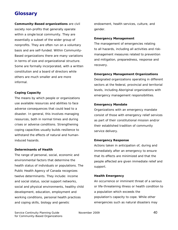# **Glossary**

**Community-Based organizations** are civil society non-profits that generally operate within a single local community. They are essentially a subset of the wider group of nonprofits. They are often run on a voluntary basis and are self-funded. Within Community-Based organizations there are many variations in terms of size and organizational structure. Some are formally incorporated, with a written constitution and a board of directors while others are much smaller and are more informal.

#### **Coping Capacity**

The means by which people or organizations use available resources and abilities to face adverse consequences that could lead to a disaster. In general, this involves managing resources, both in normal times and during crises or adverse conditions. Strengthening coping capacities usually builds resilience to withstand the effects of natural and humaninduced hazards.

#### **Determinants of Health**

The range of personal, social, economic and environmental factors that determine the health status of individuals or populations. The Public Health Agency of Canada recognizes twelve determinants. They include: income and social status, social support networks, social and physical environments, healthy child development, education, employment and working conditions, personal health practices and coping skills, biology and genetic

endowment, health services, culture, and gender.

#### **Emergency Management**

The management of emergencies relating to all hazards, including all activities and riskmanagement measures related to prevention and mitigation, preparedness, response and recovery.

#### **Emergency Management Organizations**

Designated organizations operating in different sectors at the federal, provincial and territorial levels, including Aboriginal organizations with emergency management responsibilities.

#### **Emergency Mandate**

Organizations with an emergency mandate consist of those with emergency relief services as part of their constitutional mission and/or their established tradition of community service delivery.

#### **Emergency Response**

Actions taken in anticipation of, during and immediately after an emergency to ensure that its effects are minimized and that the people affected are given immediate relief and support.

#### **Health Emergency**

An occurrence or imminent threat of a serious or life-threatening illness or health condition to a population which exceeds the population's capacity to cope. While other emergencies such as natural disasters may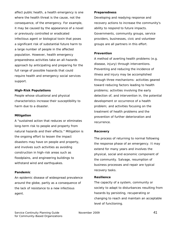affect public health, a health emergency is one where the health threat is the cause, not the consequence, of the emergency. For example, it may be caused by the appearance of a novel or previously controlled or eradicated infectious agent or biological toxin that poses a significant risk of substantial future harm to a large number of people in the affected population. However, health emergency preparedness activities take an all-hazards approach by anticipating and preparing for the full range of possible hazards that could require health and emergency social services support.

#### **High-Risk Populations**

People whose situational and physical characteristics increase their susceptibility to harm due to a disaster.

#### **Mitigation**

A "sustained action that reduces or eliminates long-term risk to people and property from natural hazards and their effects." Mitigation is the ongoing effort to lessen the impact disasters may have on people and property, and involves such activities as avoiding construction in high-risk areas such as floodplains, and engineering buildings to withstand wind and earthquakes.

#### **Pandemic**

An epidemic disease of widespread prevalence around the globe, partly as a consequence of the lack of resistance to a new infectious agent.

#### **Preparedness**

Developing and readying response and recovery actions to increase the community's ability to respond to future impacts. Governments, community groups, service providers, businesses, civic and volunteer groups are all partners in this effort.

#### **Prevention**

A method of averting health problems (e.g. disease, injury) through interventions. Preventing and reducing the incidence of illness and injury may be accomplished through three mechanisms: activities geared toward reducing factors leading to health problems; activities involving the early detection of, and intervention in, the potential development or occurrence of a health problem; and activities focusing on the treatment of health problems and the prevention of further deterioration and recurrence.

#### **Recovery**

The process of returning to normal following the response phase of an emergency. It may extend for many years and involves the physical, social and economic component of the community. Salvage, resumption of business processes and repair are typical recovery tasks.

#### **Resilience**

The capacity of a system, community or society to adapt to disturbances resulting from hazards by persisting, recuperating or changing to reach and maintain an acceptable level of functioning.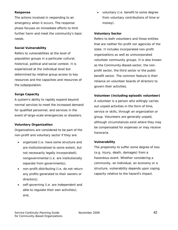#### **Response**

The actions involved in responding to an emergency when it occurs. The response phase focuses on immediate efforts to limit further harm and meet the community's basic needs.

#### **Social Vulnerability**

Refers to vulnerabilities at the level of population groups in a particular cultural, historical, political and social context. It is experienced at the individual level but determined by relative group access to key resources and the capacities and resources of the subpopulation.

#### **Surge Capacity**

A system's ability to rapidly expand beyond normal services to meet the increased demand for qualified personnel, and services in the event of large-scale emergencies or disasters.

#### **Voluntary Organization**

Organizations are considered to be part of the non-profit and voluntary sector if they are:

- organized (i.e. have some structure and are institutionalized to some extent, but not necessarily legally incorporated); nongovernmental (i.e. are institutionally separate from governments);
- non-profit-distributing (i.e. do not return any profits generated to their owners or directors);
- self-governing (i.e. are independent and able to regulate their own activities); and,

• voluntary (i.e. benefit to some degree from voluntary contributions of time or money).

#### **Voluntary Sector**

Refers to both volunteers and those entities that are neither for-profit nor agencies of the state. It includes incorporated non-profit organizations as well as unincorporated volunteer community groups. It is also known as the Community-Based-sector, the nonprofit sector, the third sector or the public benefit sector. The common feature is their reliance on volunteer boards of directors to govern their activities.

#### **Volunteer (including episodic volunteer)**

A volunteer is a person who willingly carries out unpaid activities in the form of time, service or skills, through an organization or group. Volunteers are generally unpaid, although circumstances exist where they may be compensated for expenses or may receive honoraria.

#### **Vulnerability**

The propensity to suffer some degree of loss (e.g. injury, death, damages) from a hazardous event. Whether considering a community, an individual, an economy or a structure, vulnerability depends upon coping capacity relative to the hazard's impact.